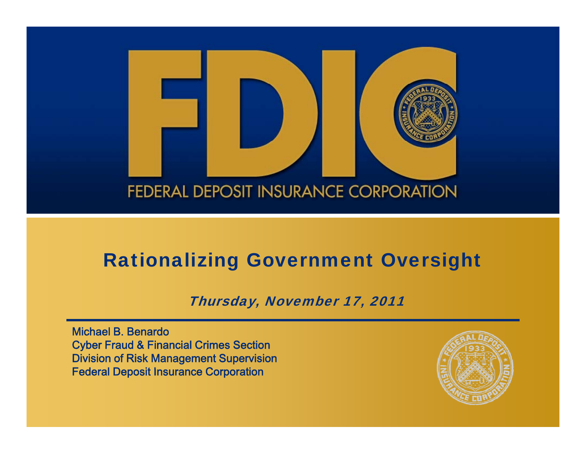

### Rationalizing Government Oversight

Thursday, November 17, 2011

Michael B. BenardoCyber Fraud & Financial Crimes Section Division of Risk Management Supervision Federal Deposit Insurance Corporation

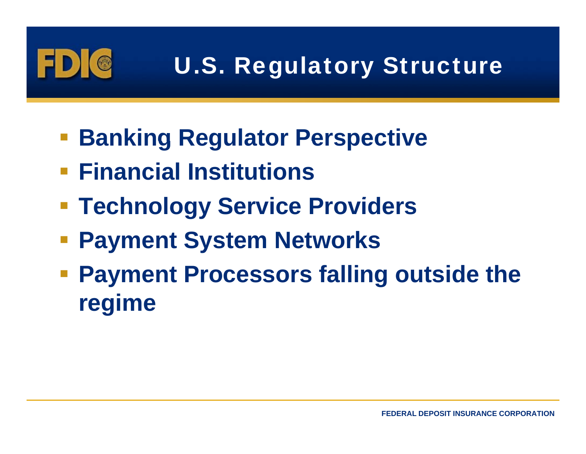

# U.S. Regulatory Structure

- **Banking Regulator Perspective**
- **Financial Institutions**
- $\blacksquare$  **Technology Service Providers**
- **Payment System Networks**
- **Payment Processors falling outside the re gime**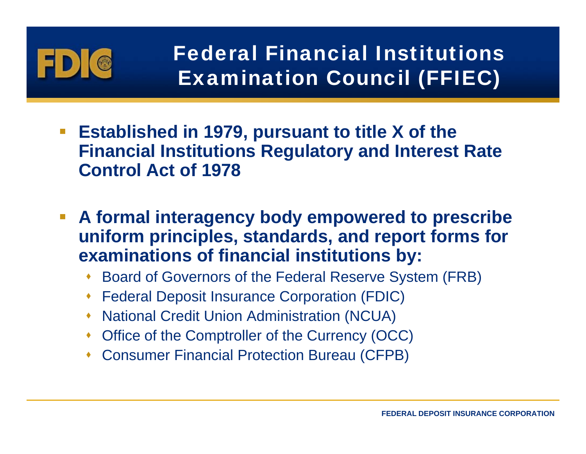

- **Established in 1979, pursuant to title X of the Financial Institutions Regulatory and Interest Rate Control Act of 1978**
- $\overline{\mathbb{R}^n}$  **A formal interagency body empowered to prescribe uniform principles, standards, and report forms for examinations of financial institutions by: by:**
	- Board of Governors of the Federal Reserve System (FRB)
	- Federal Deposit Insurance Corporation (FDIC)
	- National Credit Union Administration (NCUA)
	- Office of the Comptroller of the Currency (OCC)
	- Consumer Financial Protection Bureau (CFPB)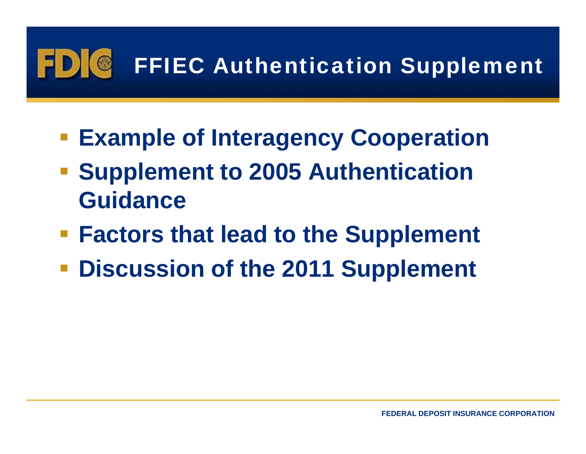### FFIEC Authentication Supplement  $\bullet$

- **Example of Interagency Cooperation**
- **Supplement to 2005 Authentication Guidance**
- **Factors that lead to the Supplement**
- **Discussion of the 2011 Supplement**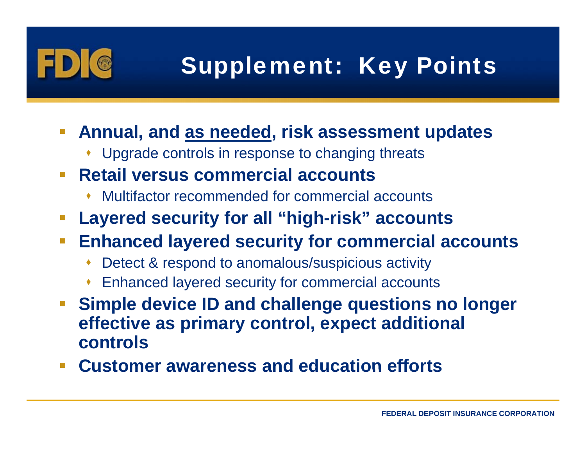

# Supplement: Key Points

- **Annual, and as needed, risk assessment u pdates**
	- Upgrade controls in response to changing threats
- $\mathcal{L}^{\mathcal{A}}$  **Retail versus commercial accounts**
	- ♦ Multifactor recommended for commercial accounts
- and the state of the state of the state of the state of the state of the state of the state of the state of th **Layered security for all "high-risk" accounts**
- $\mathcal{L}_{\mathcal{A}}$  **Enhanced layered security for commercial accounts**
	- ♦ Detect & respond to anomalous/suspicious activity
	- ♦ Enhanced layered security for commercial accounts
- $\mathcal{L}^{\mathcal{A}}$ **• Simple device ID and challenge questions no longer effective as primary control, expect additional controls**
- $\mathcal{O}(\mathbb{R}^d)$ **Customer awareness and education efforts**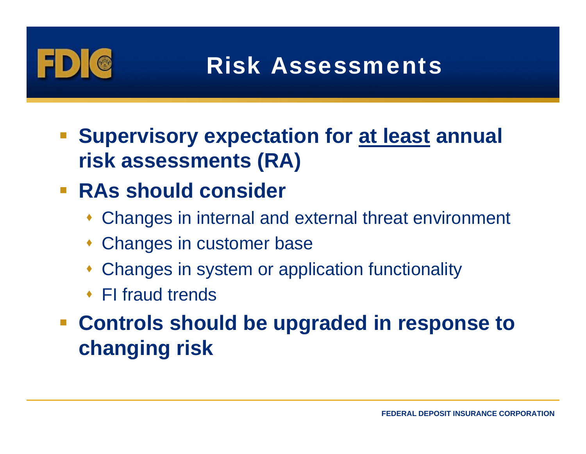

## Risk Assessments

 **Supervisory expectation for at least annual risk assessments (RA)**

### **RAs should consider**

- Changes in internal and external threat environment
- Changes in customer base
- Changes in system or application functionality
- FI fraud trends

## **Controls should be upgraded in response to changing risk**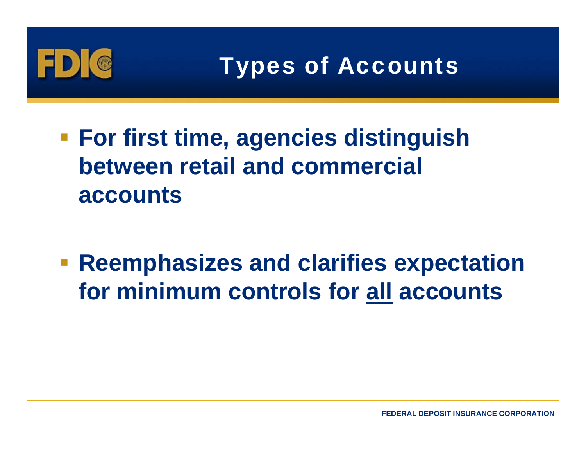

- **For first time agencies distinguish time, between retail and commercial accounts**
- $\blacksquare$  **Reemphasizes and clarifies expectation for minimum controls for all accounts**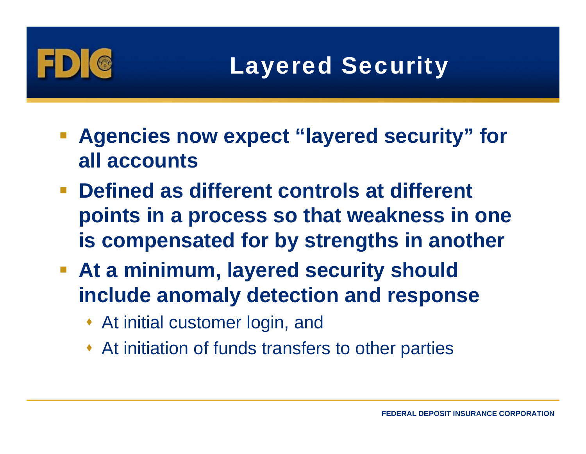# Layered Security

- $\blacksquare$  Agencies now expect "layered security" for **all accounts**
- **Defined as different controls at different points in a process so that weakness in one is compensated for by strengths in another**
- **At a minimum, layered security should include anomaly detection and response**
	- At initial customer login, and
	- At initiation of funds transfers to other parties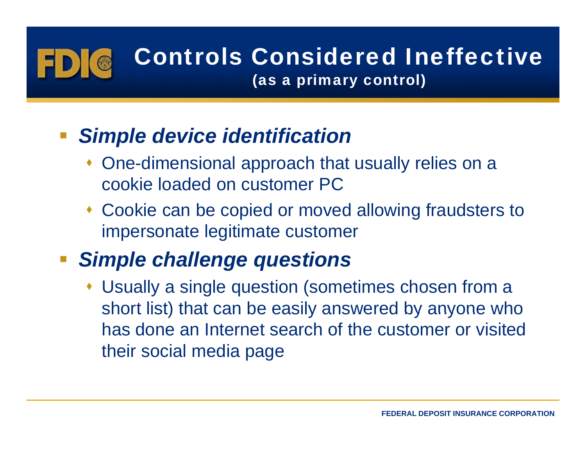# Controls Considered Ineffective

(as a primary control)

### *Simple device identification*

- One-dimensional approach that usually relies on a cookie loaded on customer PC
- Cookie can be copied or moved allowing fraudsters to impersonate legitimate customer

### **F** Simple challenge questions

 Usually a single question (sometimes chosen from a short list) that can be easily answered by anyone who has done an Internet search of the customer or visited their social media page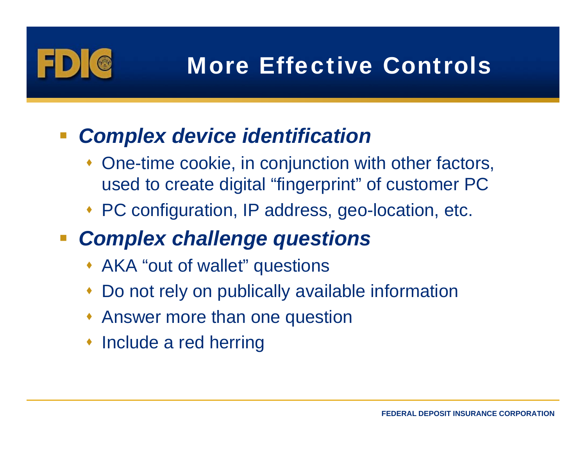

## More Effective Controls

### *Complex device identification*

- One-time cookie, in conjunction with other factors, used to create digital "fingerprint" of customer PC
- PC configuration, IP address, geo-location, etc.
- *Complex challenge questions*
	- AKA "out of wallet" questions
	- ♦ Do not rely on publically available information
	- Answer more than one question
	- Include a red herring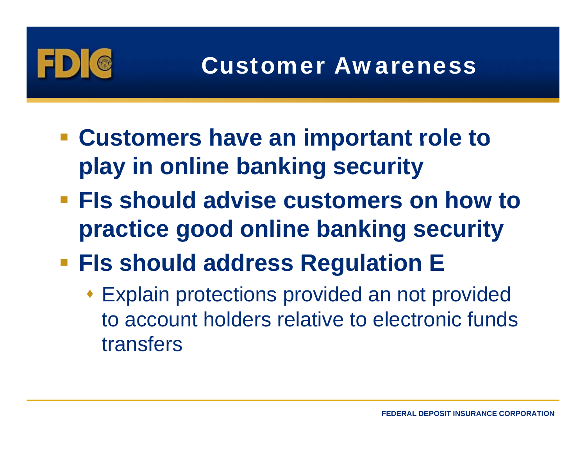

- **Customers have an important role to play in online banking security**
- **FIs should advise customers on how to on practice good online banking security**
- $\blacksquare$  **FIs should address Regulation E** 
	- Explain protections provided an not provided to account holders relative to electronic funds transfers